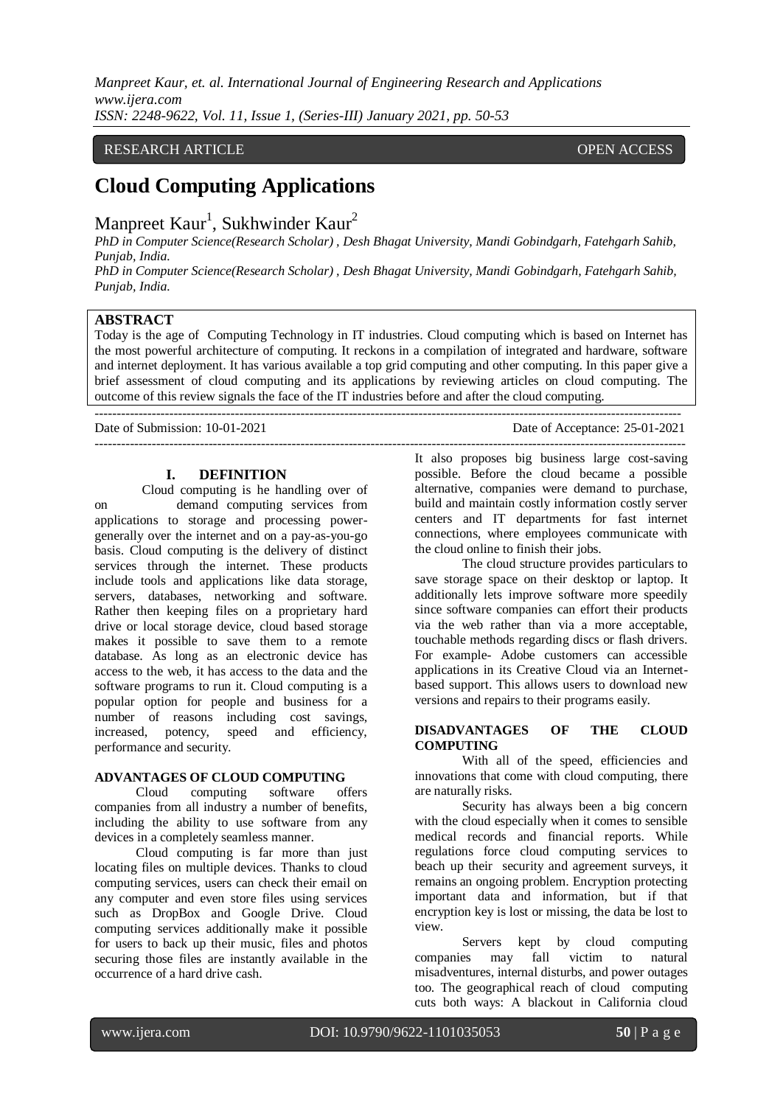*Manpreet Kaur, et. al. International Journal of Engineering Research and Applications www.ijera.com ISSN: 2248-9622, Vol. 11, Issue 1, (Series-III) January 2021, pp. 50-53*

# RESEARCH ARTICLE OPEN ACCESS

# **Cloud Computing Applications**

Manpreet  $Kaur<sup>1</sup>$ , Sukhwinder  $Kaur<sup>2</sup>$ 

*PhD in Computer Science(Research Scholar) , Desh Bhagat University, Mandi Gobindgarh, Fatehgarh Sahib, Punjab, India.*

*PhD in Computer Science(Research Scholar) , Desh Bhagat University, Mandi Gobindgarh, Fatehgarh Sahib, Punjab, India.*

#### **ABSTRACT**

Today is the age of Computing Technology in IT industries. Cloud computing which is based on Internet has the most powerful architecture of computing. It reckons in a compilation of integrated and hardware, software and internet deployment. It has various available a top grid computing and other computing. In this paper give a brief assessment of cloud computing and its applications by reviewing articles on cloud computing. The outcome of this review signals the face of the IT industries before and after the cloud computing.

---------------------------------------------------------------------------------------------------------------------------------------

--------------------------------------------------------------------------------------------------------------------------------------

Date of Submission: 10-01-2021 Date of Acceptance: 25-01-2021

**I. DEFINITION**

Cloud computing is he handling over of on demand computing services from applications to storage and processing powergenerally over the internet and on a pay-as-you-go basis. Cloud computing is the delivery of distinct services through the internet. These products include tools and applications like data storage, servers, databases, networking and software. Rather then keeping files on a proprietary hard drive or local storage device, cloud based storage makes it possible to save them to a remote database. As long as an electronic device has access to the web, it has access to the data and the software programs to run it. Cloud computing is a popular option for people and business for a number of reasons including cost savings, increased, potency, speed and efficiency, performance and security.

# **ADVANTAGES OF CLOUD COMPUTING**

Cloud computing software offers companies from all industry a number of benefits, including the ability to use software from any devices in a completely seamless manner.

Cloud computing is far more than just locating files on multiple devices. Thanks to cloud computing services, users can check their email on any computer and even store files using services such as DropBox and Google Drive. Cloud computing services additionally make it possible for users to back up their music, files and photos securing those files are instantly available in the occurrence of a hard drive cash.

It also proposes big business large cost-saving possible. Before the cloud became a possible alternative, companies were demand to purchase, build and maintain costly information costly server centers and IT departments for fast internet connections, where employees communicate with the cloud online to finish their jobs.

The cloud structure provides particulars to save storage space on their desktop or laptop. It additionally lets improve software more speedily since software companies can effort their products via the web rather than via a more acceptable, touchable methods regarding discs or flash drivers. For example- Adobe customers can accessible applications in its Creative Cloud via an Internetbased support. This allows users to download new versions and repairs to their programs easily.

#### **DISADVANTAGES OF THE CLOUD COMPUTING**

With all of the speed, efficiencies and innovations that come with cloud computing, there are naturally risks.

Security has always been a big concern with the cloud especially when it comes to sensible medical records and financial reports. While regulations force cloud computing services to beach up their security and agreement surveys, it remains an ongoing problem. Encryption protecting important data and information, but if that encryption key is lost or missing, the data be lost to view.

Servers kept by cloud computing companies may fall victim to natural misadventures, internal disturbs, and power outages too. The geographical reach of cloud computing cuts both ways: A blackout in California cloud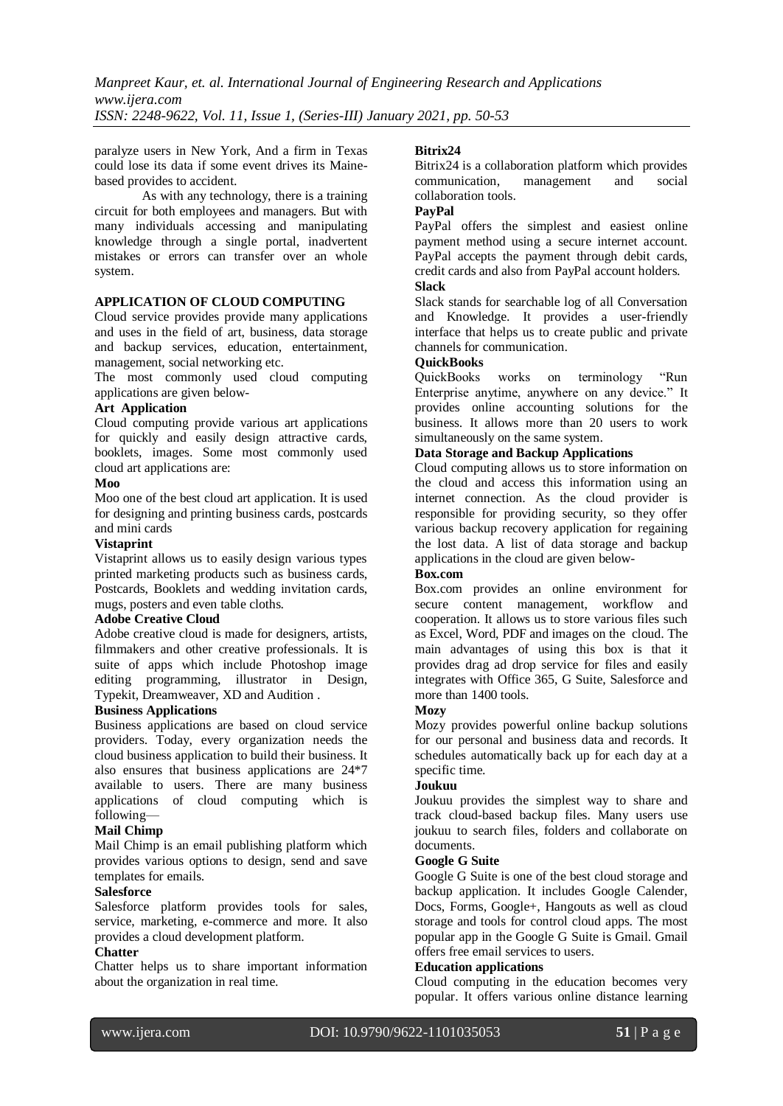paralyze users in New York, And a firm in Texas could lose its data if some event drives its Mainebased provides to accident.

As with any technology, there is a training circuit for both employees and managers. But with many individuals accessing and manipulating knowledge through a single portal, inadvertent mistakes or errors can transfer over an whole system.

# **APPLICATION OF CLOUD COMPUTING**

Cloud service provides provide many applications and uses in the field of art, business, data storage and backup services, education, entertainment, management, social networking etc.

The most commonly used cloud computing applications are given below-

# **Art Application**

Cloud computing provide various art applications for quickly and easily design attractive cards, booklets, images. Some most commonly used cloud art applications are:

# **Moo**

Moo one of the best cloud art application. It is used for designing and printing business cards, postcards and mini cards

# **Vistaprint**

Vistaprint allows us to easily design various types printed marketing products such as business cards, Postcards, Booklets and wedding invitation cards, mugs, posters and even table cloths.

# **Adobe Creative Cloud**

Adobe creative cloud is made for designers, artists, filmmakers and other creative professionals. It is suite of apps which include Photoshop image editing programming, illustrator in Design, Typekit, Dreamweaver, XD and Audition .

# **Business Applications**

Business applications are based on cloud service providers. Today, every organization needs the cloud business application to build their business. It also ensures that business applications are 24\*7 available to users. There are many business applications of cloud computing which is following—

# **Mail Chimp**

Mail Chimp is an email publishing platform which provides various options to design, send and save templates for emails.

# **Salesforce**

Salesforce platform provides tools for sales, service, marketing, e-commerce and more. It also provides a cloud development platform.

# **Chatter**

Chatter helps us to share important information about the organization in real time.

# **Bitrix24**

Bitrix24 is a collaboration platform which provides communication, management and social collaboration tools.

# **PayPal**

PayPal offers the simplest and easiest online payment method using a secure internet account. PayPal accepts the payment through debit cards, credit cards and also from PayPal account holders. **Slack**

Slack stands for searchable log of all Conversation and Knowledge. It provides a user-friendly interface that helps us to create public and private channels for communication.

# **QuickBooks**

QuickBooks works on terminology "Run Enterprise anytime, anywhere on any device." It provides online accounting solutions for the business. It allows more than 20 users to work simultaneously on the same system.

# **Data Storage and Backup Applications**

Cloud computing allows us to store information on the cloud and access this information using an internet connection. As the cloud provider is responsible for providing security, so they offer various backup recovery application for regaining the lost data. A list of data storage and backup applications in the cloud are given below-

# **Box.com**

Box.com provides an online environment for secure content management, workflow and cooperation. It allows us to store various files such as Excel, Word, PDF and images on the cloud. The main advantages of using this box is that it provides drag ad drop service for files and easily integrates with Office 365, G Suite, Salesforce and more than 1400 tools.

# **Mozy**

Mozy provides powerful online backup solutions for our personal and business data and records. It schedules automatically back up for each day at a specific time.

# **Joukuu**

Joukuu provides the simplest way to share and track cloud-based backup files. Many users use joukuu to search files, folders and collaborate on documents.

# **Google G Suite**

Google G Suite is one of the best cloud storage and backup application. It includes Google Calender, Docs, Forms, Google+, Hangouts as well as cloud storage and tools for control cloud apps. The most popular app in the Google G Suite is Gmail. Gmail offers free email services to users.

# **Education applications**

Cloud computing in the education becomes very popular. It offers various online distance learning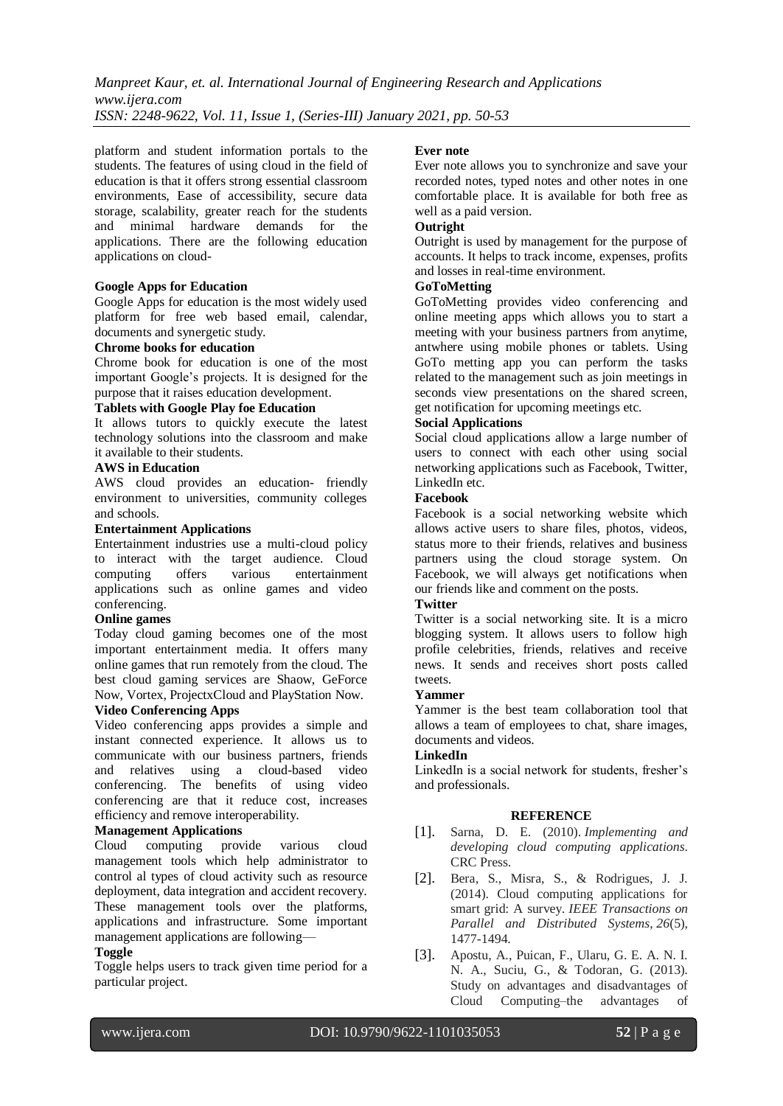*Manpreet Kaur, et. al. International Journal of Engineering Research and Applications www.ijera.com ISSN: 2248-9622, Vol. 11, Issue 1, (Series-III) January 2021, pp. 50-53*

platform and student information portals to the students. The features of using cloud in the field of education is that it offers strong essential classroom environments, Ease of accessibility, secure data storage, scalability, greater reach for the students and minimal hardware demands for the applications. There are the following education applications on cloud-

#### **Google Apps for Education**

Google Apps for education is the most widely used platform for free web based email, calendar, documents and synergetic study.

#### **Chrome books for education**

Chrome book for education is one of the most important Google's projects. It is designed for the purpose that it raises education development.

#### **Tablets with Google Play foe Education**

It allows tutors to quickly execute the latest technology solutions into the classroom and make it available to their students.

#### **AWS in Education**

AWS cloud provides an education- friendly environment to universities, community colleges and schools.

#### **Entertainment Applications**

Entertainment industries use a multi-cloud policy to interact with the target audience. Cloud computing offers various entertainment applications such as online games and video conferencing.

#### **Online games**

Today cloud gaming becomes one of the most important entertainment media. It offers many online games that run remotely from the cloud. The best cloud gaming services are Shaow, GeForce Now, Vortex, ProjectxCloud and PlayStation Now.

# **Video Conferencing Apps**

Video conferencing apps provides a simple and instant connected experience. It allows us to communicate with our business partners, friends and relatives using a cloud-based video conferencing. The benefits of using video conferencing are that it reduce cost, increases efficiency and remove interoperability.

#### **Management Applications**

Cloud computing provide various cloud management tools which help administrator to control al types of cloud activity such as resource deployment, data integration and accident recovery. These management tools over the platforms, applications and infrastructure. Some important management applications are following—

#### **Toggle**

Toggle helps users to track given time period for a particular project.

#### **Ever note**

Ever note allows you to synchronize and save your recorded notes, typed notes and other notes in one comfortable place. It is available for both free as well as a paid version.

# **Outright**

Outright is used by management for the purpose of accounts. It helps to track income, expenses, profits and losses in real-time environment.

# **GoToMetting**

GoToMetting provides video conferencing and online meeting apps which allows you to start a meeting with your business partners from anytime, antwhere using mobile phones or tablets. Using GoTo metting app you can perform the tasks related to the management such as join meetings in seconds view presentations on the shared screen, get notification for upcoming meetings etc.

#### **Social Applications**

Social cloud applications allow a large number of users to connect with each other using social networking applications such as Facebook, Twitter, LinkedIn etc.

#### **Facebook**

Facebook is a social networking website which allows active users to share files, photos, videos, status more to their friends, relatives and business partners using the cloud storage system. On Facebook, we will always get notifications when our friends like and comment on the posts.

#### **Twitter**

Twitter is a social networking site. It is a micro blogging system. It allows users to follow high profile celebrities, friends, relatives and receive news. It sends and receives short posts called tweets.

#### **Yammer**

Yammer is the best team collaboration tool that allows a team of employees to chat, share images, documents and videos.

# **LinkedIn**

LinkedIn is a social network for students, fresher's and professionals.

#### **REFERENCE**

- [1]. Sarna, D. E. (2010). *Implementing and developing cloud computing applications*. CRC Press.
- [2]. Bera, S., Misra, S., & Rodrigues, J. J. (2014). Cloud computing applications for smart grid: A survey. *IEEE Transactions on Parallel and Distributed Systems*, *26*(5), 1477-1494.
- [3]. Apostu, A., Puican, F., Ularu, G. E. A. N. I. N. A., Suciu, G., & Todoran, G. (2013). Study on advantages and disadvantages of Cloud Computing–the advantages of